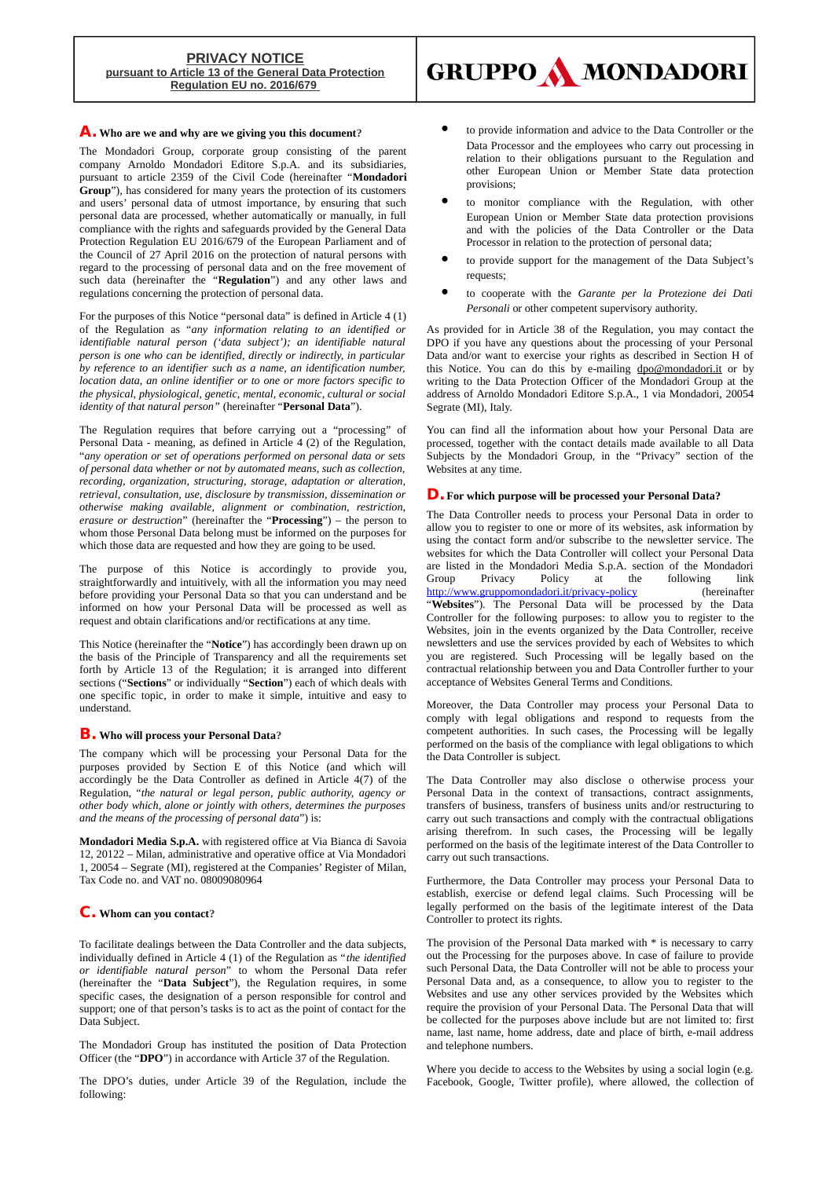# **PRIVACY NOTICE pursuant to Article 13 of the General Data Protection Regulation EU no. 2016/679**



# **A. Who are we and why are we giving you this document?**

The Mondadori Group, corporate group consisting of the parent company Arnoldo Mondadori Editore S.p.A. and its subsidiaries, pursuant to article 2359 of the Civil Code (hereinafter "**Mondadori Group**"), has considered for many years the protection of its customers and users' personal data of utmost importance, by ensuring that such personal data are processed, whether automatically or manually, in full compliance with the rights and safeguards provided by the General Data Protection Regulation EU 2016/679 of the European Parliament and of the Council of 27 April 2016 on the protection of natural persons with regard to the processing of personal data and on the free movement of such data (hereinafter the "**Regulation**") and any other laws and regulations concerning the protection of personal data.

For the purposes of this Notice "personal data" is defined in Article 4 (1) of the Regulation as "*any information relating to an identified or identifiable natural person ('data subject'); an identifiable natural person is one who can be identified, directly or indirectly, in particular by reference to an identifier such as a name, an identification number, location data, an online identifier or to one or more factors specific to the physical, physiological, genetic, mental, economic, cultural or social identity of that natural person"* (hereinafter "**Personal Data**").

The Regulation requires that before carrying out a "processing" of Personal Data - meaning, as defined in Article 4 (2) of the Regulation, "*any operation or set of operations performed on personal data or sets of personal data whether or not by automated means, such as collection, recording, organization, structuring, storage, adaptation or alteration, retrieval, consultation, use, disclosure by transmission, dissemination or otherwise making available, alignment or combination, restriction, erasure or destruction*" (hereinafter the "**Processing**") – the person to whom those Personal Data belong must be informed on the purposes for which those data are requested and how they are going to be used.

The purpose of this Notice is accordingly to provide you, straightforwardly and intuitively, with all the information you may need before providing your Personal Data so that you can understand and be informed on how your Personal Data will be processed as well as request and obtain clarifications and/or rectifications at any time.

This Notice (hereinafter the "**Notice**") has accordingly been drawn up on the basis of the Principle of Transparency and all the requirements set forth by Article 13 of the Regulation; it is arranged into different sections ("**Sections**" or individually "**Section**") each of which deals with one specific topic, in order to make it simple, intuitive and easy to understand.

### **B. Who will process your Personal Data?**

The company which will be processing your Personal Data for the purposes provided by Section E of this Notice (and which will accordingly be the Data Controller as defined in Article 4(7) of the Regulation, "*the natural or legal person, public authority, agency or other body which, alone or jointly with others, determines the purposes and the means of the processing of personal data*") is:

**Mondadori Media S.p.A.** with registered office at Via Bianca di Savoia 12, 20122 – Milan, administrative and operative office at Via Mondadori 1, 20054 – Segrate (MI), registered at the Companies' Register of Milan, Tax Code no. and VAT no. 08009080964

### **C. Whom can you contact?**

To facilitate dealings between the Data Controller and the data subjects, individually defined in Article 4 (1) of the Regulation as "*the identified or identifiable natural person*" to whom the Personal Data refer (hereinafter the "**Data Subject**"), the Regulation requires, in some specific cases, the designation of a person responsible for control and support; one of that person's tasks is to act as the point of contact for the Data Subject.

The Mondadori Group has instituted the position of Data Protection Officer (the "**DPO**") in accordance with Article 37 of the Regulation.

The DPO's duties, under Article 39 of the Regulation, include the following:

- to provide information and advice to the Data Controller or the Data Processor and the employees who carry out processing in relation to their obligations pursuant to the Regulation and other European Union or Member State data protection provisions;
- to monitor compliance with the Regulation, with other European Union or Member State data protection provisions and with the policies of the Data Controller or the Data Processor in relation to the protection of personal data;
- to provide support for the management of the Data Subject's requests;
- to cooperate with the *Garante per la Protezione dei Dati Personali* or other competent supervisory authority.

As provided for in Article 38 of the Regulation, you may contact the DPO if you have any questions about the processing of your Personal Data and/or want to exercise your rights as described in Section H of this Notice. You can do this by e-mailing [dpo@mondadori.it](mailto:dpo@mondadori.it) or by writing to the Data Protection Officer of the Mondadori Group at the address of Arnoldo Mondadori Editore S.p.A., 1 via Mondadori, 20054 Segrate (MI), Italy.

You can find all the information about how your Personal Data are processed, together with the contact details made available to all Data Subjects by the Mondadori Group, in the "Privacy" section of the Websites at any time.

#### **D.For which purpose will be processed your Personal Data?**

The Data Controller needs to process your Personal Data in order to allow you to register to one or more of its websites, ask information by using the contact form and/or subscribe to the newsletter service. The websites for which the Data Controller will collect your Personal Data are listed in the Mondadori Media S.p.A. section of the Mondadori Group Privacy Policy at the following link <http://www.gruppomondadori.it/privacy-policy>(hereinafter "**Websites**"). The Personal Data will be processed by the Data Controller for the following purposes: to allow you to register to the Websites, join in the events organized by the Data Controller, receive newsletters and use the services provided by each of Websites to which you are registered. Such Processing will be legally based on the contractual relationship between you and Data Controller further to your acceptance of Websites General Terms and Conditions.

Moreover, the Data Controller may process your Personal Data to comply with legal obligations and respond to requests from the competent authorities. In such cases, the Processing will be legally performed on the basis of the compliance with legal obligations to which the Data Controller is subject.

The Data Controller may also disclose o otherwise process your Personal Data in the context of transactions, contract assignments, transfers of business, transfers of business units and/or restructuring to carry out such transactions and comply with the contractual obligations arising therefrom. In such cases, the Processing will be legally performed on the basis of the legitimate interest of the Data Controller to carry out such transactions.

Furthermore, the Data Controller may process your Personal Data to establish, exercise or defend legal claims. Such Processing will be legally performed on the basis of the legitimate interest of the Data Controller to protect its rights.

The provision of the Personal Data marked with \* is necessary to carry out the Processing for the purposes above. In case of failure to provide such Personal Data, the Data Controller will not be able to process your Personal Data and, as a consequence, to allow you to register to the Websites and use any other services provided by the Websites which require the provision of your Personal Data. The Personal Data that will be collected for the purposes above include but are not limited to: first name, last name, home address, date and place of birth, e-mail address and telephone numbers.

Where you decide to access to the Websites by using a social login (e.g. Facebook, Google, Twitter profile), where allowed, the collection of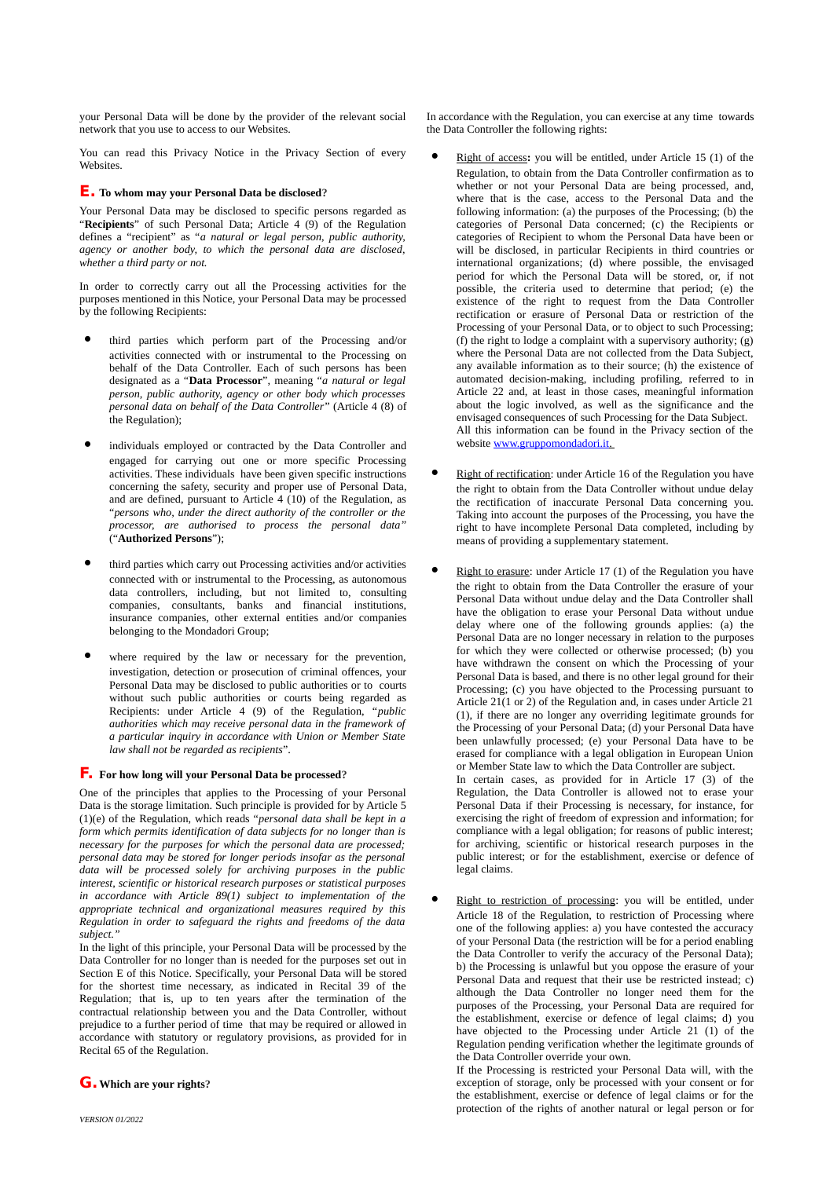your Personal Data will be done by the provider of the relevant social network that you use to access to our Websites.

You can read this Privacy Notice in the Privacy Section of every Websites.

# **E. To whom may your Personal Data be disclosed?**

Your Personal Data may be disclosed to specific persons regarded as "**Recipients**" of such Personal Data; Article 4 (9) of the Regulation defines a "recipient" as "*a natural or legal person, public authority, agency or another body, to which the personal data are disclosed, whether a third party or not.*

In order to correctly carry out all the Processing activities for the purposes mentioned in this Notice, your Personal Data may be processed by the following Recipients:

- third parties which perform part of the Processing and/or activities connected with or instrumental to the Processing on behalf of the Data Controller. Each of such persons has been designated as a "**Data Processor**", meaning "*a natural or legal person, public authority, agency or other body which processes personal data on behalf of the Data Controller*" (Article 4 (8) of the Regulation);
- individuals employed or contracted by the Data Controller and engaged for carrying out one or more specific Processing activities. These individuals have been given specific instructions concerning the safety, security and proper use of Personal Data, and are defined, pursuant to Article 4 (10) of the Regulation, as "*persons who, under the direct authority of the controller or the processor, are authorised to process the personal data"* ("**Authorized Persons**");
- third parties which carry out Processing activities and/or activities connected with or instrumental to the Processing, as autonomous data controllers, including, but not limited to, consulting companies, consultants, banks and financial institutions, insurance companies, other external entities and/or companies belonging to the Mondadori Group;
- where required by the law or necessary for the prevention, investigation, detection or prosecution of criminal offences, your Personal Data may be disclosed to public authorities or to courts without such public authorities or courts being regarded as Recipients: under Article 4 (9) of the Regulation, "*public authorities which may receive personal data in the framework of a particular inquiry in accordance with Union or Member State law shall not be regarded as recipients*".

## **F. For how long will your Personal Data be processed?**

One of the principles that applies to the Processing of your Personal Data is the storage limitation. Such principle is provided for by Article 5 (1)(e) of the Regulation, which reads "*personal data shall be kept in a form which permits identification of data subjects for no longer than is necessary for the purposes for which the personal data are processed; personal data may be stored for longer periods insofar as the personal data will be processed solely for archiving purposes in the public interest, scientific or historical research purposes or statistical purposes in accordance with Article 89(1) subject to implementation of the appropriate technical and organizational measures required by this Regulation in order to safeguard the rights and freedoms of the data subject."*

In the light of this principle, your Personal Data will be processed by the Data Controller for no longer than is needed for the purposes set out in Section E of this Notice. Specifically, your Personal Data will be stored for the shortest time necessary, as indicated in Recital 39 of the Regulation; that is, up to ten years after the termination of the contractual relationship between you and the Data Controller, without prejudice to a further period of time that may be required or allowed in accordance with statutory or regulatory provisions, as provided for in Recital 65 of the Regulation.

**G.Which are your rights?**

*VERSION 01/2022*

In accordance with the Regulation, you can exercise at any time towards the Data Controller the following rights:

- Right of access**:** you will be entitled, under Article 15 (1) of the Regulation, to obtain from the Data Controller confirmation as to whether or not your Personal Data are being processed, and, where that is the case, access to the Personal Data and the following information: (a) the purposes of the Processing; (b) the categories of Personal Data concerned; (c) the Recipients or categories of Recipient to whom the Personal Data have been or will be disclosed, in particular Recipients in third countries or international organizations; (d) where possible, the envisaged period for which the Personal Data will be stored, or, if not possible, the criteria used to determine that period; (e) the existence of the right to request from the Data Controller rectification or erasure of Personal Data or restriction of the Processing of your Personal Data, or to object to such Processing; (f) the right to lodge a complaint with a supervisory authority; (g) where the Personal Data are not collected from the Data Subject, any available information as to their source; (h) the existence of automated decision-making, including profiling, referred to in Article 22 and, at least in those cases, meaningful information about the logic involved, as well as the significance and the envisaged consequences of such Processing for the Data Subject. All this information can be found in the Privacy section of the website [www.gruppomondadori.it.](http://www.gruppomondadori.it/)
- Right of rectification: under Article 16 of the Regulation you have the right to obtain from the Data Controller without undue delay the rectification of inaccurate Personal Data concerning you. Taking into account the purposes of the Processing, you have the right to have incomplete Personal Data completed, including by means of providing a supplementary statement.
- Right to erasure: under Article 17 (1) of the Regulation you have the right to obtain from the Data Controller the erasure of your Personal Data without undue delay and the Data Controller shall have the obligation to erase your Personal Data without undue delay where one of the following grounds applies: (a) the Personal Data are no longer necessary in relation to the purposes for which they were collected or otherwise processed; (b) you have withdrawn the consent on which the Processing of your Personal Data is based, and there is no other legal ground for their Processing; (c) you have objected to the Processing pursuant to Article 21(1 or 2) of the Regulation and, in cases under Article 21 (1), if there are no longer any overriding legitimate grounds for the Processing of your Personal Data; (d) your Personal Data have been unlawfully processed; (e) your Personal Data have to be erased for compliance with a legal obligation in European Union or Member State law to which the Data Controller are subject. In certain cases, as provided for in Article 17 (3) of the Regulation, the Data Controller is allowed not to erase your Personal Data if their Processing is necessary, for instance, for

exercising the right of freedom of expression and information; for compliance with a legal obligation; for reasons of public interest; for archiving, scientific or historical research purposes in the public interest; or for the establishment, exercise or defence of legal claims.

 Right to restriction of processing: you will be entitled, under Article 18 of the Regulation, to restriction of Processing where one of the following applies: a) you have contested the accuracy of your Personal Data (the restriction will be for a period enabling the Data Controller to verify the accuracy of the Personal Data); b) the Processing is unlawful but you oppose the erasure of your Personal Data and request that their use be restricted instead; c) although the Data Controller no longer need them for the purposes of the Processing, your Personal Data are required for the establishment, exercise or defence of legal claims; d) you have objected to the Processing under Article 21 (1) of the Regulation pending verification whether the legitimate grounds of the Data Controller override your own.

If the Processing is restricted your Personal Data will, with the exception of storage, only be processed with your consent or for the establishment, exercise or defence of legal claims or for the protection of the rights of another natural or legal person or for